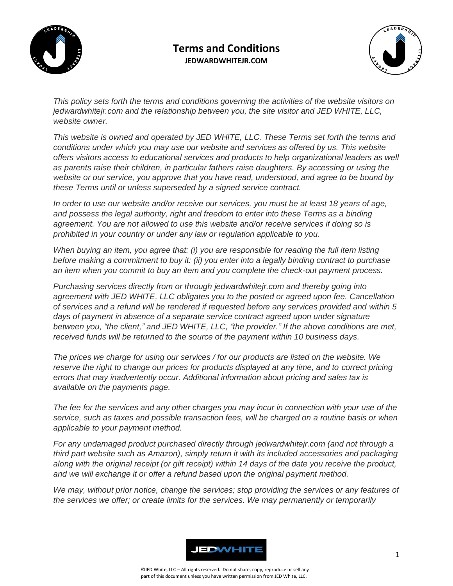

## **Terms and Conditions JEDWARDWHITEJR.COM**



*This policy sets forth the terms and conditions governing the activities of the website visitors on jedwardwhitejr.com and the relationship between you, the site visitor and JED WHITE, LLC, website owner.*

*This website is owned and operated by JED WHITE, LLC. These Terms set forth the terms and conditions under which you may use our website and services as offered by us. This website offers visitors access to educational services and products to help organizational leaders as well as parents raise their children, in particular fathers raise daughters. By accessing or using the website or our service, you approve that you have read, understood, and agree to be bound by these Terms until or unless superseded by a signed service contract.*

*In order to use our website and/or receive our services, you must be at least 18 years of age, and possess the legal authority, right and freedom to enter into these Terms as a binding agreement. You are not allowed to use this website and/or receive services if doing so is prohibited in your country or under any law or regulation applicable to you.*

*When buying an item, you agree that: (i) you are responsible for reading the full item listing before making a commitment to buy it: (ii) you enter into a legally binding contract to purchase an item when you commit to buy an item and you complete the check-out payment process.*

*Purchasing services directly from or through jedwardwhitejr.com and thereby going into agreement with JED WHITE, LLC obligates you to the posted or agreed upon fee. Cancellation of services and a refund will be rendered if requested before any services provided and within 5 days of payment in absence of a separate service contract agreed upon under signature between you, "the client," and JED WHITE, LLC, "the provider." If the above conditions are met, received funds will be returned to the source of the payment within 10 business days.* 

*The prices we charge for using our services / for our products are listed on the website. We reserve the right to change our prices for products displayed at any time, and to correct pricing errors that may inadvertently occur. Additional information about pricing and sales tax is available on the payments page.*

*The fee for the services and any other charges you may incur in connection with your use of the service, such as taxes and possible transaction fees, will be charged on a routine basis or when applicable to your payment method.*

*For any undamaged product purchased directly through jedwardwhitejr.com (and not through a third part website such as Amazon), simply return it with its included accessories and packaging along with the original receipt (or gift receipt) within 14 days of the date you receive the product, and we will exchange it or offer a refund based upon the original payment method.*

*We may, without prior notice, change the services; stop providing the services or any features of the services we offer; or create limits for the services. We may permanently or temporarily* 

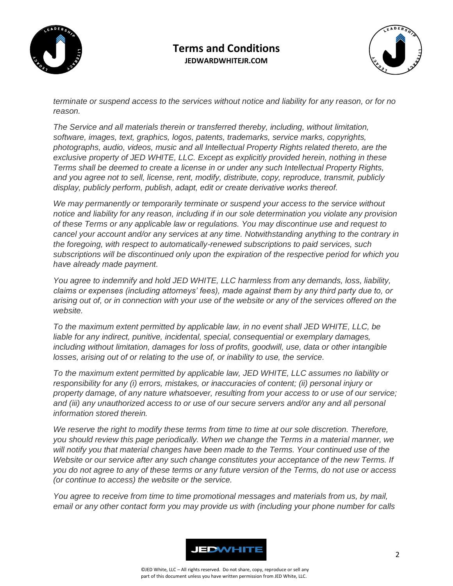

## **Terms and Conditions JEDWARDWHITEJR.COM**



*terminate or suspend access to the services without notice and liability for any reason, or for no reason.*

*The Service and all materials therein or transferred thereby, including, without limitation, software, images, text, graphics, logos, patents, trademarks, service marks, copyrights, photographs, audio, videos, music and all Intellectual Property Rights related thereto, are the exclusive property of JED WHITE, LLC. Except as explicitly provided herein, nothing in these Terms shall be deemed to create a license in or under any such Intellectual Property Rights, and you agree not to sell, license, rent, modify, distribute, copy, reproduce, transmit, publicly display, publicly perform, publish, adapt, edit or create derivative works thereof.*

*We may permanently or temporarily terminate or suspend your access to the service without notice and liability for any reason, including if in our sole determination you violate any provision of these Terms or any applicable law or regulations. You may discontinue use and request to cancel your account and/or any services at any time. Notwithstanding anything to the contrary in the foregoing, with respect to automatically-renewed subscriptions to paid services, such subscriptions will be discontinued only upon the expiration of the respective period for which you have already made payment.*

*You agree to indemnify and hold JED WHITE, LLC harmless from any demands, loss, liability, claims or expenses (including attorneys' fees), made against them by any third party due to, or arising out of, or in connection with your use of the website or any of the services offered on the website.*

*To the maximum extent permitted by applicable law, in no event shall JED WHITE, LLC, be liable for any indirect, punitive, incidental, special, consequential or exemplary damages, including without limitation, damages for loss of profits, goodwill, use, data or other intangible losses, arising out of or relating to the use of, or inability to use, the service.*

*To the maximum extent permitted by applicable law, JED WHITE, LLC assumes no liability or responsibility for any (i) errors, mistakes, or inaccuracies of content; (ii) personal injury or property damage, of any nature whatsoever, resulting from your access to or use of our service; and (iii) any unauthorized access to or use of our secure servers and/or any and all personal information stored therein.*

*We reserve the right to modify these terms from time to time at our sole discretion. Therefore, you should review this page periodically. When we change the Terms in a material manner, we will notify you that material changes have been made to the Terms. Your continued use of the Website or our service after any such change constitutes your acceptance of the new Terms. If you do not agree to any of these terms or any future version of the Terms, do not use or access (or continue to access) the website or the service.*

*You agree to receive from time to time promotional messages and materials from us, by mail, email or any other contact form you may provide us with (including your phone number for calls*